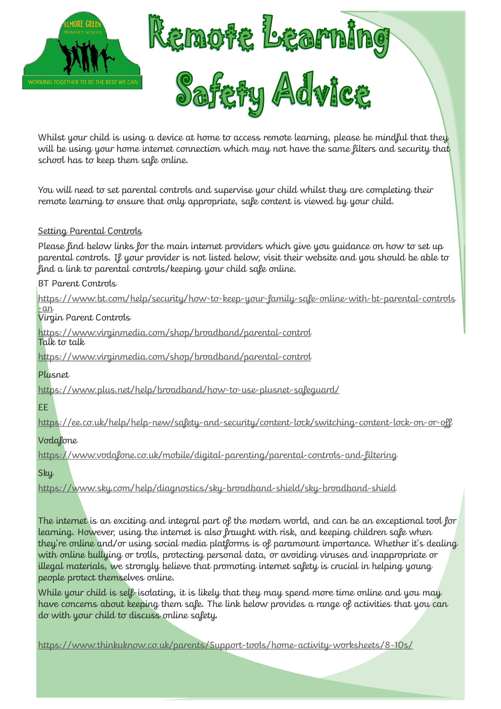

Whilst your child is using a device at home to access remote learning, please be mindful that they will be using your home internet connection which may not have the same filters and security that school has to keep them safe online.

You will need to set parental controls and supervise your child whilst they are completing their remote learning to ensure that only appropriate, safe content is viewed by your child.

## Setting Parental Controls

Please find below links for the main internet providers which give you guidance on how to set up parental controls. If your provider is not listed below, visit their website and you should be able to find a link to parental controls/keeping your child safe online.

BT Parent Controls

[https://www.bt.com/help/security/how](https://www.bt.com/help/security/how-to-keep-your-family-safe-online-with-bt-parental-controls-an)-to-keep-your-family-safe-online-with-bt-parental-controls -[an](https://www.bt.com/help/security/how-to-keep-your-family-safe-online-with-bt-parental-controls-an)

Virgin Parent Controls

[https://www.virginmedia.com/shop/broadband/parental](https://www.virginmedia.com/shop/broadband/parental-control)-control Talk to talk

[https://www.virginmedia.com/shop/broadband/parental](https://www.virginmedia.com/shop/broadband/parental-control)-control

Plusnet

[https://www.plus.net/help/broadband/how](https://www.plus.net/help/broadband/how-to-use-plusnet-safeguard/)-to-use-plusnet-safeguard/

While your child is self-isolating, it is likely that they may spend more time online and you may have concerns about keeping them safe. The link below provides a range of activities that you can do with your child to discuss online safety.

EE

[https://ee.co.uk/help/help](https://ee.co.uk/help/help-new/safety-and-security/content-lock/switching-content-lock-on-or-off)-new/safety-and-security/content-lock/switching-content-lock-on-or-off

Vodafone

[https://www.vodafone.co.uk/mobile/digital](https://www.vodafone.co.uk/mobile/digital-parenting/parental-controls-and-filtering)-parenting/parental-controls-and-filtering

Sky

[https://www.sky.com/help/diagnostics/sky](https://www.sky.com/help/diagnostics/sky-broadband-shield/sky-broadband-shield)-broadband-shield/sky-broadband-shield

The internet is an exciting and integral part of the modern world, and can be an exceptional tool for learning. However, using the internet is also fraught with risk, and keeping children safe when they're online and/or using social media platforms is of paramount importance. Whether it's dealing with online bullying or trolls, protecting personal data, or avoiding viruses and inappropriate or illegal materials, we strongly believe that promoting internet safety is crucial in helping young people protect themselves online.

[https://www.thinkuknow.co.uk/parents/Support](https://www.thinkuknow.co.uk/parents/Support-tools/home-activity-worksheets/8-10s/)-tools/home-activity-worksheets/8-10s/